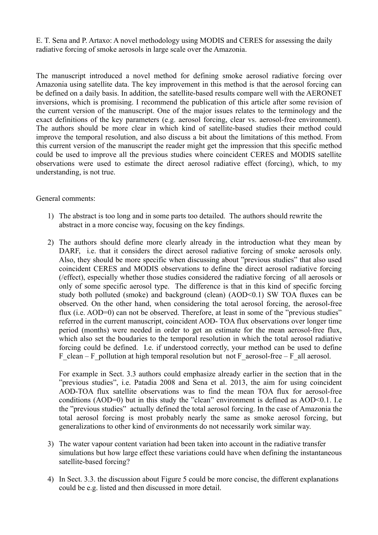E. T. Sena and P. Artaxo: A novel methodology using MODIS and CERES for assessing the daily radiative forcing of smoke aerosols in large scale over the Amazonia.

The manuscript introduced a novel method for defining smoke aerosol radiative forcing over Amazonia using satellite data. The key improvement in this method is that the aerosol forcing can be defined on a daily basis. In addition, the satellite-based results compare well with the AERONET inversions, which is promising. I recommend the publication of this article after some revision of the current version of the manuscript. One of the major issues relates to the terminology and the exact definitions of the key parameters (e.g. aerosol forcing, clear vs. aerosol-free environment). The authors should be more clear in which kind of satellite-based studies their method could improve the temporal resolution, and also discuss a bit about the limitations of this method. From this current version of the manuscript the reader might get the impression that this specific method could be used to improve all the previous studies where coincident CERES and MODIS satellite observations were used to estimate the direct aerosol radiative effect (forcing), which, to my understanding, is not true.

## General comments:

- 1) The abstract is too long and in some parts too detailed. The authors should rewrite the abstract in a more concise way, focusing on the key findings.
- 2) The authors should define more clearly already in the introduction what they mean by DARF, i.e. that it considers the direct aerosol radiative forcing of smoke aerosols only. Also, they should be more specific when discussing about "previous studies" that also used coincident CERES and MODIS observations to define the direct aerosol radiative forcing (/effect), especially whether those studies considered the radiative forcing of all aerosols or only of some specific aerosol type. The difference is that in this kind of specific forcing study both polluted (smoke) and background (clean) (AOD<0.1) SW TOA fluxes can be observed. On the other hand, when considering the total aerosol forcing, the aerosol-free flux (i.e. AOD=0) can not be observed. Therefore, at least in some of the "previous studies" referred in the current manuscript, coincident AOD- TOA flux observations over longer time period (months) were needed in order to get an estimate for the mean aerosol-free flux, which also set the boudaries to the temporal resolution in which the total aerosol radiative forcing could be defined. I.e. if understood correctly, your method can be used to define F\_clean – F\_pollution at high temporal resolution but not F\_aerosol-free – F\_all aerosol.

For example in Sect. 3.3 authors could emphasize already earlier in the section that in the "previous studies", i.e. Patadia 2008 and Sena et al. 2013, the aim for using coincident AOD-TOA flux satellite observations was to find the mean TOA flux for aerosol-free conditions (AOD=0) but in this study the "clean" environment is defined as AOD<0.1. I.e the "previous studies" actually defined the total aerosol forcing. In the case of Amazonia the total aerosol forcing is most probably nearly the same as smoke aerosol forcing, but generalizations to other kind of environments do not necessarily work similar way.

- 3) The water vapour content variation had been taken into account in the radiative transfer simulations but how large effect these variations could have when defining the instantaneous satellite-based forcing?
- 4) In Sect. 3.3. the discussion about Figure 5 could be more concise, the different explanations could be e.g. listed and then discussed in more detail.